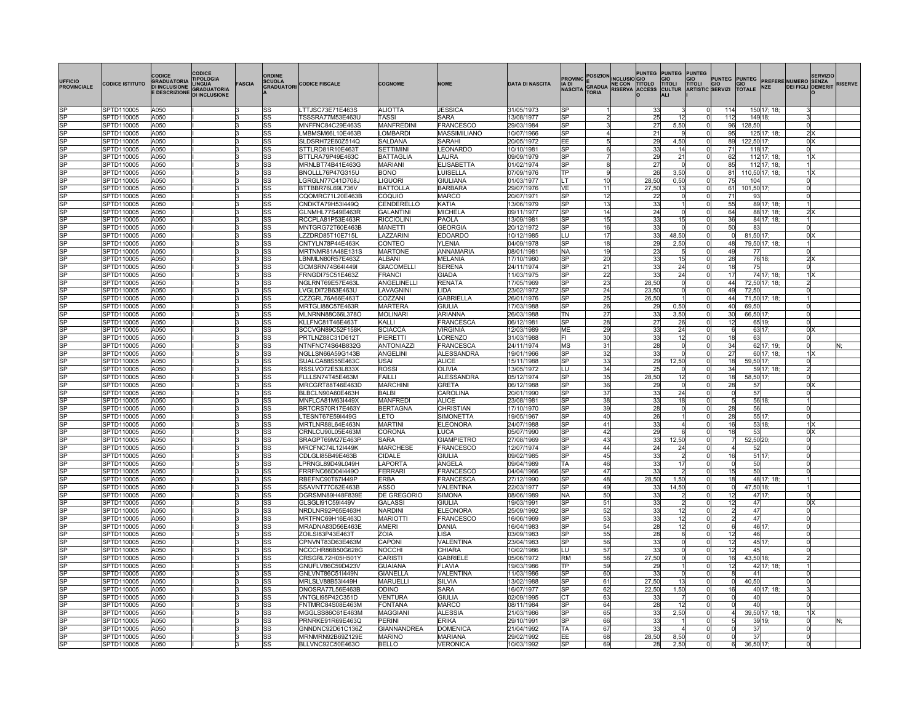| <b>UFFICIO</b><br><b>PROVINCIALE</b>             | <b>CODICE ISTITUTO</b>   | CODICE<br><b>GRADUATORIA</b><br><b>DI INCLUSIONE</b><br><b>E DESCRIZIONE</b> | CODICE<br><b>IPOLOGIA</b><br><b>INGHA</b><br><b>GRADUATORIA</b><br><b>DI INCLUSIONE</b> | <b>FASCIA</b> | ORDINE                 | SCUOLA<br>GRADUATORI CODICE FISCALE  | <b>COGNOME</b>                   | <b>NOME</b>                         | <b>DATA DI NASCITA</b>   | <b>PROVINC</b><br>IIA DI<br><b>NASCITA</b> | POSIZION INCLUSIO GIO<br><b>TORIA</b> | <b>PUNTEG</b>   | <b>PUNTEG</b>   | PUNTEG<br><b>GIO</b><br>TITOLI | PUNTEG PUNTEG<br>GRADUA NE CON TITOLO TITOLI TITOLI GIO GIO<br>TOBIA RISERVA ACCESS CULTUR ARTISTIC SERVIZI TOTALE |                | <b>NZE</b>       | <b>SERVIZIO</b><br><b>PREFERE NUMERO SENZA</b><br><b>DEI FIGLI DEMERIT</b> | <b>RISERVE</b> |
|--------------------------------------------------|--------------------------|------------------------------------------------------------------------------|-----------------------------------------------------------------------------------------|---------------|------------------------|--------------------------------------|----------------------------------|-------------------------------------|--------------------------|--------------------------------------------|---------------------------------------|-----------------|-----------------|--------------------------------|--------------------------------------------------------------------------------------------------------------------|----------------|------------------|----------------------------------------------------------------------------|----------------|
| lSP                                              | SPTD110005               | A050                                                                         |                                                                                         |               | SS                     | LTTJSC73E71E463S                     | <b>ALIOTTA</b>                   | <b>JESSICA</b>                      | 31/05/1973               | lSP                                        |                                       | 33              |                 | 01                             | 114                                                                                                                |                | 150 17; 18;      |                                                                            |                |
| <b>SP</b>                                        | SPTD110005               | A050                                                                         |                                                                                         | 13            | SS                     | TSSSRA77M53E463l                     | TASSI                            | SARA                                | 13/08/1977               | <b>SP</b>                                  |                                       | 25              | 12              | <sup>0</sup>                   | 112                                                                                                                | 149 18;        |                  |                                                                            |                |
| <b>SP</b>                                        | SPTD110005               | A050                                                                         |                                                                                         | 13            | SS                     | MNFFNC84C29E463S                     | <b>MANFREDINI</b>                | FRANCESCO                           | 29/03/1984               | S <sub>P</sub>                             |                                       | 27              | 5,50            | <sup>0</sup>                   | 96                                                                                                                 | 128,50         |                  |                                                                            |                |
| <b>SP</b>                                        | SPTD110005               | A050                                                                         |                                                                                         | 13            | SS                     | LMBMSM66L10E463B                     | <b>LOMBARD</b>                   | <b>MASSIMILIANO</b>                 | 10/07/1966               | <b>RP</b>                                  |                                       | 21              |                 | 01                             | 95                                                                                                                 |                | 125 17; 18;      | 2 X                                                                        |                |
| <b>SP</b><br><b>SP</b>                           | SPTD110005<br>SPTD110005 | A050<br>A050                                                                 |                                                                                         | l3<br>13      | SS<br>SS               | SLDSRH72E60Z514Q<br>STTLRD81R10E463T | SALDANA<br><b>SETTIMINI</b>      | <b>SARAHI</b>                       | 20/05/1972               | EE<br>lsp                                  |                                       | 29<br>33        | 4,50<br>14      | 0l<br>0l                       | 89<br>71                                                                                                           | 122,50 17;     |                  | $0 \times$                                                                 |                |
| <b>SP</b>                                        | SPTD110005               | A050                                                                         |                                                                                         | 13            | SS                     | BTTLRA79P49E463C                     | BATTAGLIA                        | LEONARDO<br>LAURA                   | 10/10/1981<br>09/09/1979 | lsp                                        |                                       | 29              | 21              | 0l                             | 62                                                                                                                 | 118 17;        | 112 17; 18;      | 1 X                                                                        |                |
| $\overline{\text{SP}}$                           | SPTD110005               | A050                                                                         |                                                                                         | 13            | SS                     | MRNLBT74B41E463G                     | MARIANI                          | <b>ELISABETTA</b>                   | 01/02/1974               | S <sub>P</sub>                             | 8                                     | 27              |                 | 0l                             | 85                                                                                                                 |                | 112 17; 18;      |                                                                            |                |
| <b>SP</b>                                        | SPTD110005               | A050                                                                         |                                                                                         | 13            | SS                     | BNOLLL76P47G315U                     | <b>BONO</b>                      | LUISELLA                            | 07/09/1976               | lTP                                        |                                       | 26              | 3,50            | 0l                             | 81                                                                                                                 |                | 110,50 17; 18;   | 1   X                                                                      |                |
| <b>SP</b>                                        | SPTD110005               | A050                                                                         |                                                                                         | 13            | SS                     | LGRGLN77C41D708J                     | <b>LIGUORI</b>                   | GIULIANA                            | 01/03/1977               | lı T                                       | 10                                    | 28,50           | 0,50            | 0l                             | 75                                                                                                                 | 104            |                  | ΩI                                                                         |                |
| $\overline{\text{SP}}$                           | SPTD110005               | A050                                                                         |                                                                                         | 13            | lss                    | BTTBBR76L69L736V                     | <b>BATTOLLA</b>                  | <b>BARBARA</b>                      | 29/07/1976               | lνE                                        | 11                                    | 27,50           | 13              | <sup>0</sup>                   | 61                                                                                                                 | 101,50 17      |                  |                                                                            |                |
| $\overline{\text{SP}}$                           | SPTD110005               | A050                                                                         |                                                                                         | 13            | lss                    | CQOMRC71L20E463B                     | COQUIO                           | <b>MARCO</b>                        | 20/07/1971               | SP                                         | 12                                    | 22              |                 | $\Omega$                       | 71                                                                                                                 | 93             |                  |                                                                            |                |
| <b>SP</b>                                        | SPTD110005               | A050                                                                         |                                                                                         | 13            | SS                     | CNDKTA79H53I449Q                     | CENDERELLO                       | KATIA                               | 13/06/1979               | lsP                                        | 13                                    | 33              |                 | $\Omega$                       | 55                                                                                                                 |                | 89 17; 18;       |                                                                            |                |
| <b>SP</b>                                        | SPTD110005               | A050                                                                         |                                                                                         | 13            | SS                     | GLNMHL77S49E463R                     | <b>GALANTINI</b>                 | <b>MICHELA</b>                      | 09/11/1977               | lSP                                        | 14                                    | 24              |                 | $\Omega$                       | 64                                                                                                                 |                | 88 17; 18;       | 2 X                                                                        |                |
| $\overline{\text{SP}}$<br>$\overline{\text{SP}}$ | SPTD110005               | A050                                                                         |                                                                                         | 13            | SS                     | RCCPLA81P53E463R                     | <b>RICCIOLINI</b>                | <b>PAOLA</b>                        | 13/09/1981               | lSP                                        | 15                                    | 33              | 15              | $\Omega$                       | 36                                                                                                                 |                | 84 17; 18;       |                                                                            |                |
| $\overline{\text{SP}}$                           | SPTD110005<br>SPTD110005 | A050<br>A050                                                                 |                                                                                         | 13<br>13      | SS<br>SS               | MNTGRG72T60E463B<br>LZZDRD85T10E715L | MANETTI<br>LAZZARIN              | <b>GEORGIA</b><br><b>EDOARDC</b>    | 20/12/1972<br>10/12/1985 | lSP<br>LU                                  | 16<br>17                              | 33<br>33        | 48,50           | $\Omega$<br>$\Omega$           | 50<br>$\Omega$                                                                                                     | 83<br>81,50 17 |                  | 0 X                                                                        |                |
| $\overline{\text{SP}}$                           | SPTD110005               | A050                                                                         |                                                                                         | 13            | SS                     | CNTYLN78P44E463K                     | CONTEO                           | <b>YLENIA</b>                       | 04/09/1978               | SP                                         | 18                                    | 29              | 2,50            | 0                              | 48                                                                                                                 |                | 79,50 17; 18;    |                                                                            |                |
| $\overline{\text{SP}}$                           | SPTD110005               | A050                                                                         |                                                                                         | lЗ            | SS                     | MRTNMR81A48E131S                     | <b>MARTONE</b>                   | ANNAMARIA                           | 08/01/1981               | NA                                         | 19                                    | 23              |                 | $\Omega$                       | 49                                                                                                                 | 77             |                  |                                                                            |                |
| $\overline{\text{SP}}$                           | SPTD110005               | A050                                                                         |                                                                                         |               | SS                     | LBNMLN80R57E463Z                     | <b>ALBANI</b>                    | <b>MELANIA</b>                      | 17/10/1980               | SP                                         | 20                                    | 33              | 15              | $\Omega$                       | 28                                                                                                                 | 76 18          |                  | 2X                                                                         |                |
| <b>SP</b>                                        | SPTD110005               | A050                                                                         |                                                                                         |               | SS                     | GCMSRN74S64I449I                     | <b>GIACOMELLI</b>                | <b>SERENA</b>                       | 24/11/1974               | SP                                         | 21                                    | 33              | 24              | $\Omega$                       | 18                                                                                                                 | 75             |                  |                                                                            |                |
| <b>SP</b>                                        | SPTD110005               | A050                                                                         |                                                                                         |               | SS                     | FRNGDI75C51E463Z                     | <b>FRANCI</b>                    | <b>GIADA</b>                        | 11/03/1975               | lsP                                        | 22                                    | 33              | 24              | $\Omega$                       | 17                                                                                                                 |                | 74 17; 18;       | 1lX                                                                        |                |
| $\overline{\text{SP}}$                           | SPTD110005               | A050                                                                         |                                                                                         |               | SS                     | NGLRNT69E57E463L                     | ANGELINELLI                      | <b>RENATA</b>                       | 17/05/1969               | lsP                                        | 23                                    | 28.50           |                 | $\Omega$                       | 44                                                                                                                 |                | 72,50 17; 18;    |                                                                            |                |
| <b>SP</b>                                        | SPTD110005               | A050                                                                         |                                                                                         |               | SS                     | LVGLDI72B63E463U                     | LAVAGNINI                        | LIDA                                | 23/02/1972               | lsP                                        | 24                                    | 23,50           |                 | $\Omega$                       | 49                                                                                                                 | 72.50          |                  |                                                                            |                |
| SP                                               | SPTD110005               | A050                                                                         |                                                                                         |               | lss                    | CZZGRL76A66E463T                     | COZZANI                          | <b>GABRIELLA</b>                    | 26/01/1976               | lsP                                        | 25                                    | 26,50           |                 | $\Omega$                       | 44                                                                                                                 |                | 71,50 17; 18;    |                                                                            |                |
| <b>SP</b>                                        | SPTD110005               | A050                                                                         |                                                                                         |               | SS                     | MRTGLI88C57E463R                     | <b>MARTERA</b>                   | <b>GIULIA</b>                       | 17/03/1988               | lsP                                        | 26                                    | 29              | 0.50            | $\Omega$                       | 40                                                                                                                 | 69,50          |                  |                                                                            |                |
| <b>SP</b>                                        | SPTD110005               | A050                                                                         |                                                                                         |               | SS                     | MLNRNN88C66L378C                     | <b>MOLINARI</b><br>KALLI         | ARIANNA                             | 26/03/1988               | lΤN<br>lSP                                 | 27                                    | 33              | 3,50            | 0l<br>$\Omega$                 | 30                                                                                                                 | 66,50 17       |                  |                                                                            |                |
| SP<br>SP                                         | SPTD110005<br>SPTD110005 | A050<br>A050                                                                 |                                                                                         |               | lss<br>lss             | KLLFNC81T46E463T<br>SCCVGN89C52F158K | <b>SCIACCA</b>                   | <b>FRANCESCA</b><br><b>VIRGINIA</b> | 06/12/1981<br>12/03/1989 | MЕ                                         | 28<br>29                              | 27<br>33        | 26<br>24        | $\Omega$                       | 12                                                                                                                 |                | 65 19;<br>63 17; | 0X                                                                         |                |
| <b>SP</b>                                        | SPTD110005               | A050                                                                         |                                                                                         |               | <b>SS</b>              | PRTLNZ88C31D612T                     | PIERETTI                         | LORENZO                             | 31/03/1988               | l۴ı                                        | 30                                    | 33              | 12              | $\Omega$                       | 18                                                                                                                 | 63             |                  |                                                                            |                |
| <b>SP</b>                                        | SPTD110005               | A050                                                                         |                                                                                         |               | <b>SS</b>              | NTNFNC74S64B832C                     | <b>ANTONIAZZI</b>                | <b>FRANCESCA</b>                    | 24/11/1974               | MS                                         | 31                                    | 28              |                 | $\Omega$                       | 34                                                                                                                 |                | 62 17; 19;       |                                                                            |                |
| <b>SP</b>                                        | SPTD110005               | A050                                                                         |                                                                                         |               | lss                    | NGLLSN66A59G143B                     | ANGELINI                         | <b>ALESSANDRA</b>                   | 19/01/1966               | SP                                         | 32                                    | 33              |                 | $\Omega$                       | 27                                                                                                                 |                | 60 17; 18;       | 1 X                                                                        |                |
| <b>SP</b>                                        | SPTD110005               | A050                                                                         |                                                                                         |               | <b>SS</b>              | SUALCA88S55E463C                     | <b>USAI</b>                      | <b>ALICE</b>                        | 15/11/1988               | <b>SP</b>                                  | 33                                    | 29              | 12,50           | $\Omega$                       | 18                                                                                                                 | 59,50 17;      |                  | n١                                                                         |                |
| <b>SP</b>                                        | SPTD110005               | A050                                                                         |                                                                                         |               | <b>SS</b>              | RSSLVO72E53L833X                     | <b>ROSSI</b>                     | OLIVIA                              | 13/05/1972               | LU                                         | 34                                    | 25              |                 | ΩI                             | 34                                                                                                                 |                | 59 17; 18;       | 2l                                                                         |                |
| <b>SP</b>                                        | SPTD110005               | A050                                                                         |                                                                                         |               | lss                    | FLLLSN74T45E463M                     | <b>FAILLI</b>                    | <b>ALESSANDRA</b>                   | 05/12/1974               | SP                                         | 35                                    | 28,50           | 12              | ΩI                             | 18                                                                                                                 | 58,50 17;      |                  |                                                                            |                |
| <b>SP</b>                                        | SPTD110005               | A050                                                                         |                                                                                         |               | SS                     | MRCGRT88T46E463D                     | <b>MARCHINI</b>                  | <b>GRETA</b>                        | 06/12/1988               | lsP                                        | 36                                    | 29              |                 | $\Omega$                       | 28                                                                                                                 | 57             |                  | 0 <sup>2</sup>                                                             |                |
| <b>SP</b>                                        | SPTD110005               | A050                                                                         |                                                                                         |               | lss                    | BLBCLN90A60E463H                     | <b>BALBI</b>                     | CAROLINA                            | 20/01/1990               | lsP                                        | 37                                    | 33              | 24              | $\Omega$                       | $\Omega$                                                                                                           | 57             |                  | Ωl                                                                         |                |
| <b>SP</b>                                        | SPTD110005               | A050                                                                         |                                                                                         | l3            | lss                    | MNFLCA81M63I449X                     | <b>MANFRED</b>                   | <b>ALICE</b>                        | 23/08/1981               | lsP                                        | 38                                    | 33              | 18              | $\Omega$                       | 5                                                                                                                  |                | 56 18:           |                                                                            |                |
| <b>SP</b><br><b>SP</b>                           | SPTD110005<br>SPTD110005 | A050<br>A050                                                                 |                                                                                         |               | SS<br>SS               | BRTCRS70R17E463Y<br>LTESNT67E59I449G | <b>BERTAGNA</b><br>LETO          | CHRISTIAN<br><b>SIMONETTA</b>       | 17/10/1970<br>19/05/1967 | lsP<br>lsP                                 | 39<br>40                              | <b>28</b><br>26 |                 | $\Omega$<br>$\Omega$           | 28<br>28                                                                                                           | 56             | 55 17;           | n<br>Ωl                                                                    |                |
| <b>SP</b>                                        | SPTD110005               | A050                                                                         |                                                                                         | lЗ            | SS                     | MRTLNR88L64E463N                     | <b>MARTINI</b>                   | <b>ELEONORA</b>                     | 24/07/1988               | lsP                                        | 41                                    | 33              |                 | $\Omega$                       | 16                                                                                                                 |                | 53 18;           | 1 X                                                                        |                |
| <b>SP</b>                                        | SPTD110005               | A050                                                                         |                                                                                         | lЗ            | SS                     | CRNLCU90L05E463M                     | CORONA                           | LUCA                                | 05/07/1990               | lsP                                        | 42                                    | 29              |                 | $\Omega$                       | 18                                                                                                                 | 53             |                  | 0 <sup>K</sup>                                                             |                |
| <b>SP</b>                                        | SPTD110005               | A050                                                                         |                                                                                         | lЗ            | SS                     | SRAGPT69M27E463P                     | <b>SARA</b>                      | <b>GIAMPIETRO</b>                   | 27/08/1969               | lsP                                        | 43                                    | 33              | 12.50           |                                | $\overline{7}$                                                                                                     | 52,50 20:      |                  | Ωl                                                                         |                |
| <b>SP</b>                                        | SPTD110005               | A050                                                                         |                                                                                         | lЗ            | SS                     | MRCFNC74L12I449K                     | <b>MARCHESE</b>                  | <b>FRANCESCO</b>                    | 12/07/1974               | <b>SP</b>                                  | 44                                    | 24              | $\overline{24}$ | $\Omega$                       |                                                                                                                    | 52             |                  |                                                                            |                |
| $\overline{\text{SP}}$                           | SPTD110005               | A050                                                                         |                                                                                         | I٦            | <b>SS</b>              | CDLGLI85B49E463B                     | <b>CIDALE</b>                    | <b>GIULIA</b>                       | 09/02/1985               | <b>SP</b>                                  | 45                                    | 33              | 2               | $\Omega$                       | 16                                                                                                                 |                | 51 17;           |                                                                            |                |
| <b>SP</b>                                        | SPTD110005               | A050                                                                         |                                                                                         |               | SS                     | LPRNGL89D49L049H                     | LAPORTA                          | ANGELA                              | 09/04/1989               | TA                                         | 46                                    | 33              | $\overline{17}$ |                                | $\overline{0}$                                                                                                     | 50             |                  |                                                                            |                |
| <b>SP</b>                                        | SPTD110005               | A050                                                                         |                                                                                         |               | <b>SS</b>              | FRRFNC66D04I449O                     | <b>FERRARI</b>                   | <b>FRANCESCO</b>                    | 04/04/1966               | <b>SP</b>                                  | 47                                    | 33              |                 |                                | 15                                                                                                                 | 50             |                  |                                                                            |                |
| SP                                               | SPTD110005               | A050                                                                         |                                                                                         |               | <b>SS</b>              | RBEFNC90T67I449P                     | <b>ERBA</b>                      | <b>FRANCESCA</b>                    | 27/12/1990               | $_{\rm SP}$                                | 48                                    | 28,50           | 1,50            | $\Omega$                       | 18                                                                                                                 |                | 48 17; 18;       |                                                                            |                |
| $\overline{\text{SP}}$                           | SPTD110005               | A050                                                                         |                                                                                         |               | <b>SS</b>              | SSAVNT77C62E463B                     | <b>ASSO</b>                      | <b>VALENTINA</b>                    | 22/03/1977               | $_{\rm SP}$                                | 49                                    | 33              | 14,50           | $\Omega$                       | $\overline{0}$                                                                                                     | 47,50 18;      |                  |                                                                            |                |
| <b>SP</b><br><b>SP</b>                           | SPTD110005               | A050                                                                         |                                                                                         |               | <b>SS</b>              | DGRSMN89H48F839E                     | <b>DE GREGORIO</b>               | <b>SIMONA</b>                       | 08/06/1989               | <b>NA</b><br>$_{\rm SP}$                   | 50                                    | 33              |                 | $\Omega$<br>$\Omega$           | 12                                                                                                                 | 47             | 47 17:           | 0 <sup>X</sup>                                                             |                |
| <b>SP</b>                                        | SPTD110005<br>SPTD110005 | A050<br>A050                                                                 |                                                                                         |               | <b>SS</b><br><b>SS</b> | GLSGLI91C59I449V                     | <b>GALASSI</b><br><b>NARDINI</b> | <b>GIULIA</b>                       | 19/03/1991<br>25/09/1992 | $_{\rm SP}$                                | 51<br>52                              | 33<br>33        | 12              | $\Omega$                       | 12<br>$\overline{2}$                                                                                               | 47             |                  |                                                                            |                |
| <b>SP</b>                                        | SPTD110005               | A050                                                                         |                                                                                         |               | <b>SS</b>              | NRDLNR92P65E463H<br>MRTFNC69H16E463D | <b>MARIOTT</b>                   | <b>ELEONORA</b><br>FRANCESCO        | 16/06/1969               | $_{\rm SP}$                                | 53                                    | 33              | 12              | $\Omega$                       | $\mathfrak{p}$                                                                                                     | 47             |                  |                                                                            |                |
| <b>SP</b>                                        | SPTD110005               | A050                                                                         |                                                                                         |               | <b>SS</b>              | MRADNA83D56E463E                     | AMERI                            | DANIA                               | 16/04/1983               | $_{\rm SP}$                                | 54                                    | 28              | 12              | $\Omega$                       | <b>R</b>                                                                                                           |                | 46 17;           |                                                                            |                |
| <b>SP</b>                                        | SPTD110005               | A050                                                                         |                                                                                         |               | SS                     | ZOILSI83P43E463T                     | ZOIA                             | LISA                                | 03/09/1983               | $_{\rm SP}$                                | 55                                    | 28              | 6               | $\Omega$                       | 12                                                                                                                 | 46             |                  |                                                                            |                |
| <b>SP</b>                                        | SPTD110005               | A050                                                                         |                                                                                         |               | SS                     | CPNVNT83D63E463M                     | CAPONI                           | VALENTINA                           | 23/04/1983               | $_{\rm SP}$                                | 56                                    | 33              |                 | $\Omega$                       | 12                                                                                                                 |                | 45 17;           |                                                                            |                |
| $\overline{\text{SP}}$                           | SPTD110005               | A050                                                                         |                                                                                         |               | <b>SS</b>              | NCCCHR86B50G628G                     | <b>NOCCHI</b>                    | CHIARA                              | 10/02/1986               | ΙU                                         | 57                                    | 33              |                 | $\Omega$                       | 12                                                                                                                 | 45             |                  |                                                                            |                |
| $\overline{\text{SP}}$                           | SPTD110005               | A050                                                                         |                                                                                         |               | <b>SS</b>              | CRSGRL72H05H501Y                     | CARISTI                          | <b>GABRIELE</b>                     | 05/06/1972               | RM                                         | $\overline{58}$                       | 27,50           |                 | $\overline{0}$                 | 16                                                                                                                 | 43,50 18;      |                  |                                                                            |                |
| $\overline{\text{SP}}$                           | SPTD110005               | A050                                                                         |                                                                                         |               | <b>SS</b>              | GNUFLV86C59D423V                     | <b>GUAIANA</b>                   | <b>FLAVIA</b>                       | 19/03/1986               | lтp                                        | 59                                    | 29              |                 | 0l                             | 12                                                                                                                 |                | 42 17; 18;       |                                                                            |                |
| $\overline{\text{SP}}$                           | SPTD110005               | A050                                                                         |                                                                                         |               | <b>SS</b>              | GNLVNT86C51I449N                     | <b>GIANELLA</b>                  | VALENTINA                           | 11/03/1986               | $\overline{\text{SP}}$                     | 60                                    | 33              |                 | $\Omega$                       | R                                                                                                                  | 41             |                  |                                                                            |                |
| $\overline{\text{SP}}$                           | SPTD110005               | A050                                                                         |                                                                                         |               | <b>SS</b>              | MRLSLV88B53I449H                     | <b>MARUELLI</b>                  | <b>SILVIA</b>                       | 13/02/1988               | $\overline{\text{SP}}$                     | 61                                    | 27,50           | 13              | <sub>0</sub>                   | $\overline{0}$                                                                                                     | 40,50          |                  |                                                                            |                |
| $\overline{\text{SP}}$                           | SPTD110005               | A050                                                                         |                                                                                         |               | <b>SS</b>              | DNOSRA77L56E463B                     | ODINO                            | SARA                                | 16/07/1977               | $_{\rm SP}$                                | 62                                    | 22,50           | 1,50            | 0l<br>ΩI                       | 16                                                                                                                 |                | 40 17; 18;       |                                                                            |                |
| $\overline{\text{SP}}$<br>$\overline{\text{SP}}$ | SPTD110005               | A050<br>A050                                                                 |                                                                                         | lЗ            | <b>SS</b><br><b>SS</b> | VNTGLI95P42C351D<br>FNTMRC84S08E463M | VENTURA<br><b>FONTANA</b>        | GIULIA<br><b>MARCO</b>              | 02/09/1995<br>08/11/1984 | cт<br>$_{\rm SP}$                          | 63<br>64                              | 33<br>28        | 7<br>12         | $\Omega$                       | n<br>$\Omega$                                                                                                      | 40<br>40       |                  |                                                                            |                |
| $\overline{\text{SP}}$                           | SPTD110005<br>SPTD110005 | A050                                                                         |                                                                                         |               | <b>SS</b>              | MGGLSS86C61E463M                     | <b>MAGGIAN</b>                   | ALESSIA                             | 21/03/1986               | <b>SP</b>                                  | 65                                    | 33              | 2,50            | $\Omega$                       | $\overline{4}$                                                                                                     |                | 39,50 17; 18;    | 1 X                                                                        |                |
| <b>SP</b>                                        | SPTD110005               | A050                                                                         |                                                                                         | lЗ            | SS                     | PRNRKE91R69E463Q                     | PERINI                           | <b>ERIKA</b>                        | 29/10/1991               | <b>SP</b>                                  | 66                                    | 33              |                 | $\Omega$                       | 5                                                                                                                  |                | 39 19:           |                                                                            | lΝ             |
| $\overline{\text{SP}}$                           | SPTD110005               | A050                                                                         |                                                                                         | 13            | SS                     | GNNDNC92D61C136Z                     | <b>GIANNANDREA</b>               | <b>DOMENICA</b>                     | 21/04/1992               | TA                                         | 67                                    | 33              |                 | $\Omega$                       | $\Omega$                                                                                                           | 37             |                  |                                                                            |                |
| $\overline{\text{SP}}$                           | SPTD110005               | A050                                                                         |                                                                                         |               | SS                     | MRNMRN92B69Z129E                     | <b>MARINO</b>                    | MARIANA                             | 29/02/1992               | İΕE                                        | 68                                    | 28,50           | 8,50            | $\Omega$                       | $\Omega$                                                                                                           | 37             |                  |                                                                            |                |
| <b>SP</b>                                        | SPTD110005               | A050                                                                         |                                                                                         | lЗ            | lss                    | BLLVNC92C50E463O                     | <b>BELLO</b>                     | <b>VERONICA</b>                     | 10/03/1992               | lsp                                        | 69                                    | 28              | 2.50            | nl                             | 6                                                                                                                  | 36,50 17;      |                  |                                                                            |                |